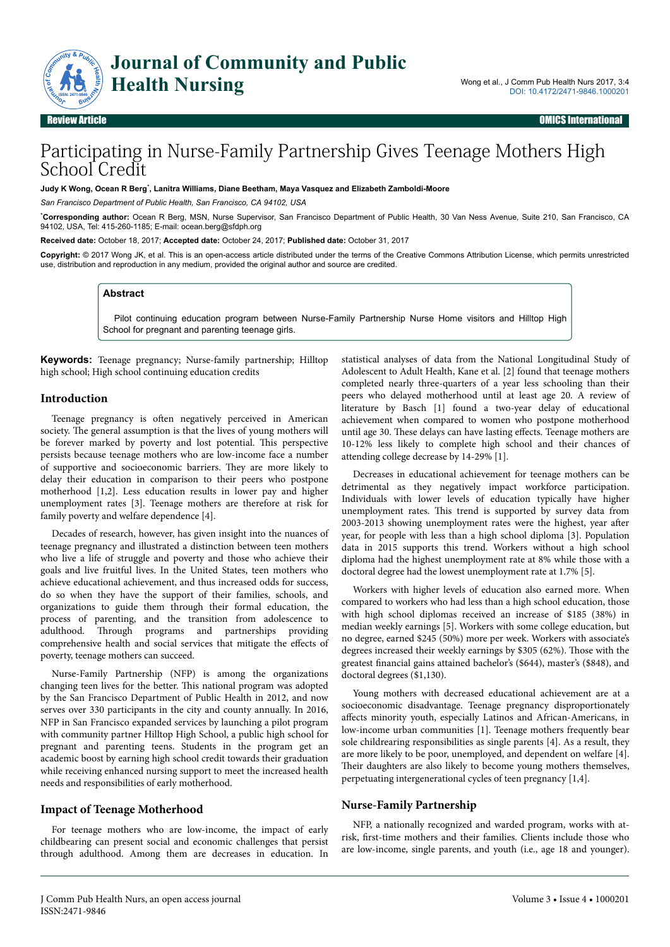

# Participating in Nurse-Family Partnership Gives Teenage Mothers High School Credit

**Judy K Wong, Ocean R Berg**\* **, Lanitra Williams, Diane Beetham, Maya Vasquez and Elizabeth Zamboldi-Moore**

*San Francisco Department of Public Health, San Francisco, CA 94102, USA*

\***Corresponding author:** Ocean R Berg, MSN, Nurse Supervisor, San Francisco Department of Public Health, 30 Van Ness Avenue, Suite 210, San Francisco, CA 94102, USA, Tel: 415-260-1185; E-mail: ocean.berg@sfdph.org

**Received date:** October 18, 2017; **Accepted date:** October 24, 2017; **Published date:** October 31, 2017

**Copyright:** © 2017 Wong JK, et al. This is an open-access article distributed under the terms of the Creative Commons Attribution License, which permits unrestricted use, distribution and reproduction in any medium, provided the original author and source are credited.

#### **Abstract**

Pilot continuing education program between Nurse-Family Partnership Nurse Home visitors and Hilltop High School for pregnant and parenting teenage girls.

**Keywords:** Teenage pregnancy; Nurse-family partnership; Hilltop high school; High school continuing education credits

#### **Introduction**

Teenage pregnancy is often negatively perceived in American society. Нe general assumption is that the lives of young mothers will be forever marked by poverty and lost potential. Нis perspective persists because teenage mothers who are low-income face a number of supportive and socioeconomic barriers. They are more likely to delay their education in comparison to their peers who postpone motherhood [1,2]. Less education results in lower pay and higher unemployment rates [3]. Teenage mothers are therefore at risk for family poverty and welfare dependence [4].

Decades of research, however, has given insight into the nuances of teenage pregnancy and illustrated a distinction between teen mothers who live a life of struggle and poverty and those who achieve their goals and live fruitful lives. In the United States, teen mothers who achieve educational achievement, and thus increased odds for success, do so when they have the support of their families, schools, and organizations to guide them through their formal education, the process of parenting, and the transition from adolescence to adulthood. Нrough programs and partnerships providing comprehensive health and social services that mitigate the effects of poverty, teenage mothers can succeed.

Nurse-Family Partnership (NFP) is among the organizations changing teen lives for the better. Нis national program was adopted by the San Francisco Department of Public Health in 2012, and now serves over 330 participants in the city and county annually. In 2016, NFP in San Francisco expanded services by launching a pilot program with community partner Hilltop High School, a public high school for pregnant and parenting teens. Students in the program get an academic boost by earning high school credit towards their graduation while receiving enhanced nursing support to meet the increased health needs and responsibilities of early motherhood.

#### **Impact of Teenage Motherhood**

For teenage mothers who are low-income, the impact of early childbearing can present social and economic challenges that persist through adulthood. Among them are decreases in education. In

statistical analyses of data from the National Longitudinal Study of Adolescent to Adult Health, Kane et al. [2] found that teenage mothers completed nearly three-quarters of a year less schooling than their peers who delayed motherhood until at least age 20. A review of literature by Basch [1] found a two-year delay of educational achievement when compared to women who postpone motherhood until age 30. These delays can have lasting effects. Teenage mothers are 10-12% less likely to complete high school and their chances of attending college decrease by 14-29% [1].

Decreases in educational achievement for teenage mothers can be detrimental as they negatively impact workforce participation. Individuals with lower levels of education typically have higher unemployment rates. Нis trend is supported by survey data from 2003-2013 showing unemployment rates were the highest, year after year, for people with less than a high school diploma [3]. Population data in 2015 supports this trend. Workers without a high school diploma had the highest unemployment rate at 8% while those with a doctoral degree had the lowest unemployment rate at 1.7% [5].

Workers with higher levels of education also earned more. When compared to workers who had less than a high school education, those with high school diplomas received an increase of \$185 (38%) in median weekly earnings [5]. Workers with some college education, but no degree, earned \$245 (50%) more per week. Workers with associate's degrees increased their weekly earnings by \$305 (62%). Нose with the greatest financial gains attained bachelor's (\$644), master's (\$848), and doctoral degrees (\$1,130).

Young mothers with decreased educational achievement are at a socioeconomic disadvantage. Teenage pregnancy disproportionately affects minority youth, especially Latinos and African-Americans, in low-income urban communities [1]. Teenage mothers frequently bear sole childrearing responsibilities as single parents [4]. As a result, they are more likely to be poor, unemployed, and dependent on welfare [4]. Their daughters are also likely to become young mothers themselves, perpetuating intergenerational cycles of teen pregnancy [1,4].

#### **Nurse-Family Partnership**

NFP, a nationally recognized and warded program, works with atrisk, first-time mothers and their families. Clients include those who are low-income, single parents, and youth (i.e., age 18 and younger).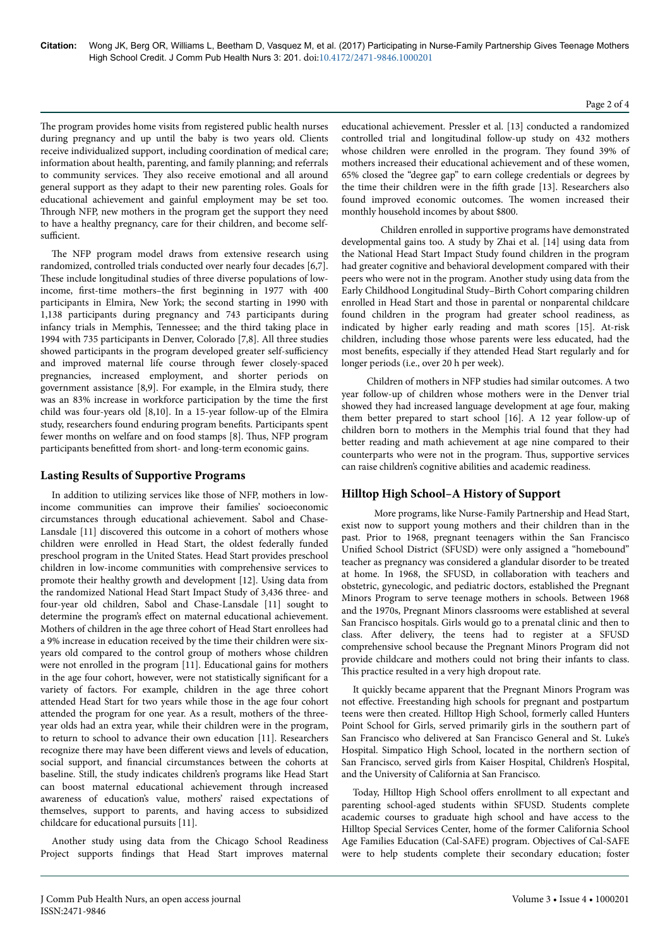The program provides home visits from registered public health nurses during pregnancy and up until the baby is two years old. Clients receive individualized support, including coordination of medical care; information about health, parenting, and family planning; and referrals to community services. They also receive emotional and all around general support as they adapt to their new parenting roles. Goals for educational achievement and gainful employment may be set too. Through NFP, new mothers in the program get the support they need to have a healthy pregnancy, care for their children, and become selfsufficient.

The NFP program model draws from extensive research using randomized, controlled trials conducted over nearly four decades [6,7]. These include longitudinal studies of three diverse populations of lowincome, first-time mothers–the first beginning in 1977 with 400 participants in Elmira, New York; the second starting in 1990 with 1,138 participants during pregnancy and 743 participants during infancy trials in Memphis, Tennessee; and the third taking place in 1994 with 735 participants in Denver, Colorado [7,8]. All three studies showed participants in the program developed greater self-sufficiency and improved maternal life course through fewer closely-spaced pregnancies, increased employment, and shorter periods on government assistance [8,9]. For example, in the Elmira study, there was an 83% increase in workforce participation by the time the first child was four-years old [8,10]. In a 15-year follow-up of the Elmira study, researchers found enduring program benefits. Participants spent fewer months on welfare and on food stamps [8]. Нus, NFP program participants benefitted from short- and long-term economic gains.

### **Lasting Results of Supportive Programs**

In addition to utilizing services like those of NFP, mothers in lowincome communities can improve their families' socioeconomic circumstances through educational achievement. Sabol and Chase-Lansdale [11] discovered this outcome in a cohort of mothers whose children were enrolled in Head Start, the oldest federally funded preschool program in the United States. Head Start provides preschool children in low-income communities with comprehensive services to promote their healthy growth and development [12]. Using data from the randomized National Head Start Impact Study of 3,436 three- and four-year old children, Sabol and Chase-Lansdale [11] sought to determine the program's effect on maternal educational achievement. Mothers of children in the age three cohort of Head Start enrollees had a 9% increase in education received by the time their children were sixyears old compared to the control group of mothers whose children were not enrolled in the program [11]. Educational gains for mothers in the age four cohort, however, were not statistically significant for a variety of factors. For example, children in the age three cohort attended Head Start for two years while those in the age four cohort attended the program for one year. As a result, mothers of the threeyear olds had an extra year, while their children were in the program, to return to school to advance their own education [11]. Researchers recognize there may have been different views and levels of education, social support, and financial circumstances between the cohorts at baseline. Still, the study indicates children's programs like Head Start can boost maternal educational achievement through increased awareness of education's value, mothers' raised expectations of themselves, support to parents, and having access to subsidized childcare for educational pursuits [11].

Another study using data from the Chicago School Readiness Project supports findings that Head Start improves maternal educational achievement. Pressler et al. [13] conducted a randomized controlled trial and longitudinal follow-up study on 432 mothers whose children were enrolled in the program. They found 39% of mothers increased their educational achievement and of these women, 65% closed the "degree gap" to earn college credentials or degrees by the time their children were in the fifth grade [13]. Researchers also found improved economic outcomes. Нe women increased their monthly household incomes by about \$800.

Children enrolled in supportive programs have demonstrated developmental gains too. A study by Zhai et al. [14] using data from the National Head Start Impact Study found children in the program had greater cognitive and behavioral development compared with their peers who were not in the program. Another study using data from the Early Childhood Longitudinal Study–Birth Cohort comparing children enrolled in Head Start and those in parental or nonparental childcare found children in the program had greater school readiness, as indicated by higher early reading and math scores [15]. At-risk children, including those whose parents were less educated, had the most benefits, especially if they attended Head Start regularly and for longer periods (i.e., over 20 h per week).

Children of mothers in NFP studies had similar outcomes. A two year follow-up of children whose mothers were in the Denver trial showed they had increased language development at age four, making them better prepared to start school [16]. A 12 year follow-up of children born to mothers in the Memphis trial found that they had better reading and math achievement at age nine compared to their counterparts who were not in the program. Нus, supportive services can raise children's cognitive abilities and academic readiness.

# **Hilltop High School–A History of Support**

More programs, like Nurse-Family Partnership and Head Start, exist now to support young mothers and their children than in the past. Prior to 1968, pregnant teenagers within the San Francisco Unified School District (SFUSD) were only assigned a "homebound" teacher as pregnancy was considered a glandular disorder to be treated at home. In 1968, the SFUSD, in collaboration with teachers and obstetric, gynecologic, and pediatric doctors, established the Pregnant Minors Program to serve teenage mothers in schools. Between 1968 and the 1970s, Pregnant Minors classrooms were established at several San Francisco hospitals. Girls would go to a prenatal clinic and then to class. After delivery, the teens had to register at a SFUSD comprehensive school because the Pregnant Minors Program did not provide childcare and mothers could not bring their infants to class. This practice resulted in a very high dropout rate.

It quickly became apparent that the Pregnant Minors Program was not effective. Freestanding high schools for pregnant and postpartum teens were then created. Hilltop High School, formerly called Hunters Point School for Girls, served primarily girls in the southern part of San Francisco who delivered at San Francisco General and St. Luke's Hospital. Simpatico High School, located in the northern section of San Francisco, served girls from Kaiser Hospital, Children's Hospital, and the University of California at San Francisco.

Today, Hilltop High School offers enrollment to all expectant and parenting school-aged students within SFUSD. Students complete academic courses to graduate high school and have access to the Hilltop Special Services Center, home of the former California School Age Families Education (Cal-SAFE) program. Objectives of Cal-SAFE were to help students complete their secondary education; foster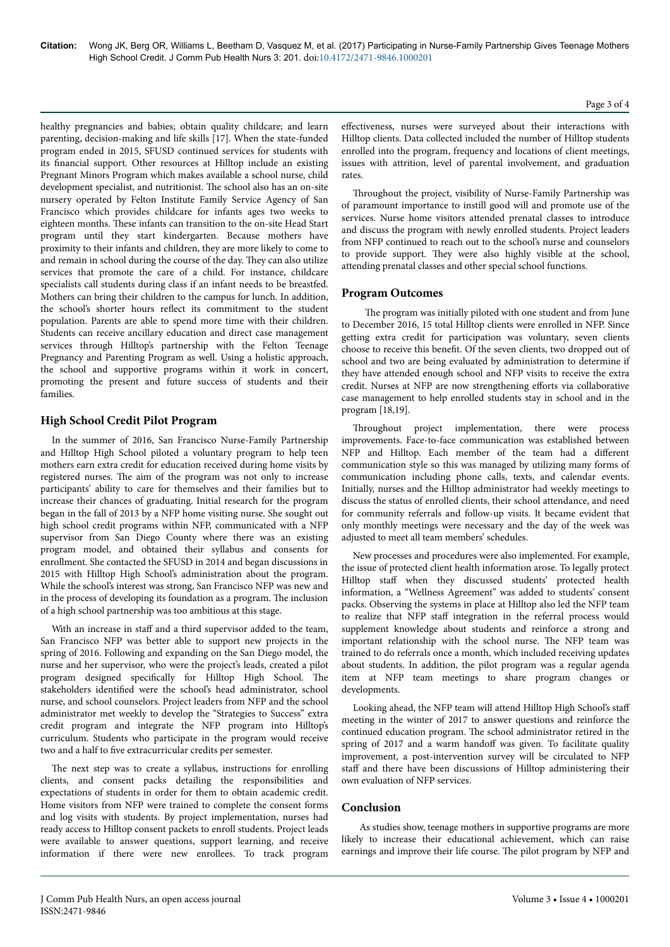healthy pregnancies and babies; obtain quality childcare; and learn parenting, decision-making and life skills [17]. When the state-funded program ended in 2015, SFUSD continued services for students with its financial support. Other resources at Hilltop include an existing Pregnant Minors Program which makes available a school nurse, child development specialist, and nutritionist. Нe school also has an on-site nursery operated by Felton Institute Family Service Agency of San Francisco which provides childcare for infants ages two weeks to eighteen months. Нese infants can transition to the on-site Head Start program until they start kindergarten. Because mothers have proximity to their infants and children, they are more likely to come to and remain in school during the course of the day. They can also utilize services that promote the care of a child. For instance, childcare specialists call students during class if an infant needs to be breastfed. Mothers can bring their children to the campus for lunch. In addition, the school's shorter hours reflect its commitment to the student population. Parents are able to spend more time with their children. Students can receive ancillary education and direct case management services through Hilltop's partnership with the Felton Teenage Pregnancy and Parenting Program as well. Using a holistic approach, the school and supportive programs within it work in concert, promoting the present and future success of students and their families.

# **High School Credit Pilot Program**

In the summer of 2016, San Francisco Nurse-Family Partnership and Hilltop High School piloted a voluntary program to help teen mothers earn extra credit for education received during home visits by registered nurses. Нe aim of the program was not only to increase participants' ability to care for themselves and their families but to increase their chances of graduating. Initial research for the program began in the fall of 2013 by a NFP home visiting nurse. She sought out high school credit programs within NFP, communicated with a NFP supervisor from San Diego County where there was an existing program model, and obtained their syllabus and consents for enrollment. She contacted the SFUSD in 2014 and began discussions in 2015 with Hilltop High School's administration about the program. While the school's interest was strong, San Francisco NFP was new and in the process of developing its foundation as a program. Нe inclusion of a high school partnership was too ambitious at this stage.

With an increase in staff and a third supervisor added to the team, San Francisco NFP was better able to support new projects in the spring of 2016. Following and expanding on the San Diego model, the nurse and her supervisor, who were the project's leads, created a pilot program designed specifically for Hilltop High School. The stakeholders identified were the school's head administrator, school nurse, and school counselors. Project leaders from NFP and the school administrator met weekly to develop the "Strategies to Success" extra credit program and integrate the NFP program into Hilltop's curriculum. Students who participate in the program would receive two and a half to five extracurricular credits per semester.

The next step was to create a syllabus, instructions for enrolling clients, and consent packs detailing the responsibilities and expectations of students in order for them to obtain academic credit. Home visitors from NFP were trained to complete the consent forms and log visits with students. By project implementation, nurses had ready access to Hilltop consent packets to enroll students. Project leads were available to answer questions, support learning, and receive information if there were new enrollees. To track program effectiveness, nurses were surveyed about their interactions with Hilltop clients. Data collected included the number of Hilltop students enrolled into the program, frequency and locations of client meetings, issues with attrition, level of parental involvement, and graduation rates.

Throughout the project, visibility of Nurse-Family Partnership was of paramount importance to instill good will and promote use of the services. Nurse home visitors attended prenatal classes to introduce and discuss the program with newly enrolled students. Project leaders from NFP continued to reach out to the school's nurse and counselors to provide support. They were also highly visible at the school, attending prenatal classes and other special school functions.

## **Program Outcomes**

The program was initially piloted with one student and from June to December 2016, 15 total Hilltop clients were enrolled in NFP. Since getting extra credit for participation was voluntary, seven clients choose to receive this benefit. Of the seven clients, two dropped out of school and two are being evaluated by administration to determine if they have attended enough school and NFP visits to receive the extra credit. Nurses at NFP are now strengthening efforts via collaborative case management to help enrolled students stay in school and in the program [18,19].

Throughout project implementation, there were process improvements. Face-to-face communication was established between NFP and Hilltop. Each member of the team had a different communication style so this was managed by utilizing many forms of communication including phone calls, texts, and calendar events. Initially, nurses and the Hilltop administrator had weekly meetings to discuss the status of enrolled clients, their school attendance, and need for community referrals and follow-up visits. It became evident that only monthly meetings were necessary and the day of the week was adjusted to meet all team members' schedules.

New processes and procedures were also implemented. For example, the issue of protected client health information arose. To legally protect Hilltop staff when they discussed students' protected health information, a "Wellness Agreement" was added to students' consent packs. Observing the systems in place at Hilltop also led the NFP team to realize that NFP staff integration in the referral process would supplement knowledge about students and reinforce a strong and important relationship with the school nurse. Нe NFP team was trained to do referrals once a month, which included receiving updates about students. In addition, the pilot program was a regular agenda item at NFP team meetings to share program changes or developments.

Looking ahead, the NFP team will attend Hilltop High School's staff meeting in the winter of 2017 to answer questions and reinforce the continued education program. Нe school administrator retired in the spring of 2017 and a warm handoff was given. To facilitate quality improvement, a post-intervention survey will be circulated to NFP staff and there have been discussions of Hilltop administering their own evaluation of NFP services.

# **Conclusion**

As studies show, teenage mothers in supportive programs are more likely to increase their educational achievement, which can raise earnings and improve their life course. Нe pilot program by NFP and